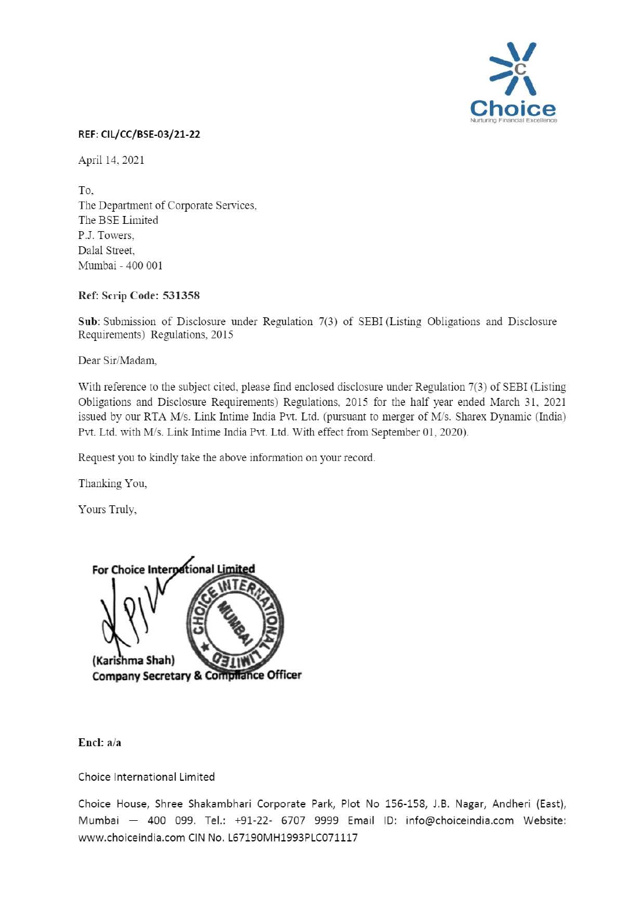

## REF: CIL/CC/BSE-03/21-22

April 14, 2021

To, The Department of Corporate Services, The BSE Limited P.J. Towers, Dalal Street, Mumbai - 400 001

## Ref: Scrip Code: 531358

Sub: Submission of Disclosure under Regulation 7(3) of SEBI (Listing Obligations and Disclosure Requirements) Regulations, 2015

Dear Sir/Madam,

With reference to the subject cited, please find enclosed disclosure under Regulation 7(3) of SEBI (Listing Obligations and Disclosure Requirements) Regulations, 2015 for the half year ended March 31, 2021 issued by our RTA M/s. Link lntime India Pvt. Ltd. (pursuant to merger of M/s. Sharex Dynamic (India) Pvt. Ltd. with M/s. Link Intime India Pvt. Ltd. With effect from September 01, 2020).

Request you to kindly take the above infonnation on your record.

Thanking You,

Yours Truly,



End: a/a

Choice International Limited

Choice House, Shree Shakambhari Corporate Park, Plot No 156-158, J.B. Nagar, Andheri (East), Mumbai - 400 099. Tel.: +91-22- 6707 9999 Email ID: info@choiceindia.com Website: www.choiceindia.com CIN No. l67190MH1993PLC071117